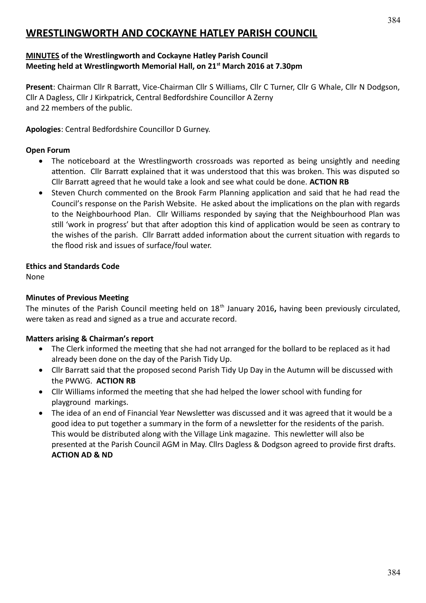# **WRESTLINGWORTH AND COCKAYNE HATLEY PARISH COUNCIL**

### **MINUTES of the Wrestlingworth and Cockayne Hatley Parish Council Meeting held at Wrestlingworth Memorial Hall, on 21st March 2016 at 7.30pm**

**Present**: Chairman Cllr R Barratt, Vice-Chairman Cllr S Williams, Cllr C Turner, Cllr G Whale, Cllr N Dodgson, Cllr A Dagless, Cllr J Kirkpatrick, Central Bedfordshire Councillor A Zerny and 22 members of the public.

**Apologies**: Central Bedfordshire Councillor D Gurney.

### **Open Forum**

- The noticeboard at the Wrestlingworth crossroads was reported as being unsightly and needing attention. Cllr Barratt explained that it was understood that this was broken. This was disputed so Cllr Barratt agreed that he would take a look and see what could be done. **ACTION RB**
- Steven Church commented on the Brook Farm Planning application and said that he had read the Council's response on the Parish Website. He asked about the implications on the plan with regards to the Neighbourhood Plan. Cllr Williams responded by saying that the Neighbourhood Plan was still 'work in progress' but that after adoption this kind of application would be seen as contrary to the wishes of the parish. Cllr Barratt added information about the current situation with regards to the flood risk and issues of surface/foul water.

### **Ethics and Standards Code**

None

### **Minutes of Previous Meeting**

The minutes of the Parish Council meeting held on 18th January 2016**,** having been previously circulated, were taken as read and signed as a true and accurate record.

#### **Matters arising & Chairman's report**

- The Clerk informed the meeting that she had not arranged for the bollard to be replaced as it had already been done on the day of the Parish Tidy Up.
- Cllr Barratt said that the proposed second Parish Tidy Up Day in the Autumn will be discussed with the PWWG. **ACTION RB**
- Cllr Williams informed the meeting that she had helped the lower school with funding for playground markings.
- The idea of an end of Financial Year Newsletter was discussed and it was agreed that it would be a good idea to put together a summary in the form of a newsletter for the residents of the parish. This would be distributed along with the Village Link magazine. This newletter will also be presented at the Parish Council AGM in May. Cllrs Dagless & Dodgson agreed to provide first drafts. **ACTION AD & ND**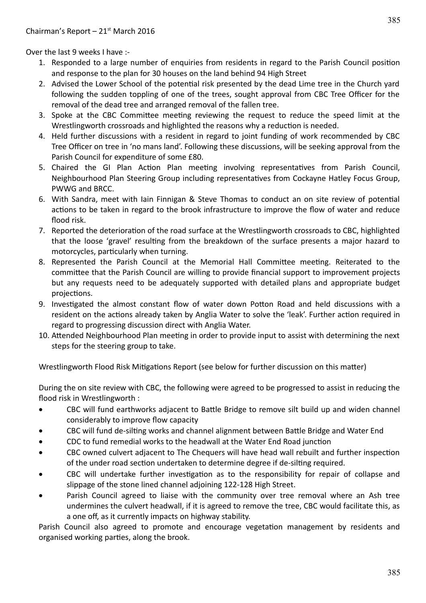Over the last 9 weeks I have :-

- 1. Responded to a large number of enquiries from residents in regard to the Parish Council position and response to the plan for 30 houses on the land behind 94 High Street
- 2. Advised the Lower School of the potential risk presented by the dead Lime tree in the Church yard following the sudden toppling of one of the trees, sought approval from CBC Tree Officer for the removal of the dead tree and arranged removal of the fallen tree.
- 3. Spoke at the CBC Committee meeting reviewing the request to reduce the speed limit at the Wrestlingworth crossroads and highlighted the reasons why a reduction is needed.
- 4. Held further discussions with a resident in regard to joint funding of work recommended by CBC Tree Officer on tree in 'no mans land'. Following these discussions, will be seeking approval from the Parish Council for expenditure of some £80.
- 5. Chaired the GI Plan Action Plan meeting involving representatives from Parish Council, Neighbourhood Plan Steering Group including representatives from Cockayne Hatley Focus Group, PWWG and BRCC.
- 6. With Sandra, meet with Iain Finnigan & Steve Thomas to conduct an on site review of potential actions to be taken in regard to the brook infrastructure to improve the flow of water and reduce flood risk.
- 7. Reported the deterioration of the road surface at the Wrestlingworth crossroads to CBC, highlighted that the loose 'gravel' resulting from the breakdown of the surface presents a major hazard to motorcycles, particularly when turning.
- 8. Represented the Parish Council at the Memorial Hall Committee meeting. Reiterated to the committee that the Parish Council are willing to provide financial support to improvement projects but any requests need to be adequately supported with detailed plans and appropriate budget projections.
- 9. Investigated the almost constant flow of water down Potton Road and held discussions with a resident on the actions already taken by Anglia Water to solve the 'leak'. Further action required in regard to progressing discussion direct with Anglia Water.
- 10. Attended Neighbourhood Plan meeting in order to provide input to assist with determining the next steps for the steering group to take.

Wrestlingworth Flood Risk Mitigations Report (see below for further discussion on this matter)

During the on site review with CBC, the following were agreed to be progressed to assist in reducing the flood risk in Wrestlingworth :

- CBC will fund earthworks adjacent to Battle Bridge to remove silt build up and widen channel considerably to improve flow capacity
- CBC will fund de-silting works and channel alignment between Battle Bridge and Water End
- CDC to fund remedial works to the headwall at the Water End Road junction
- CBC owned culvert adjacent to The Chequers will have head wall rebuilt and further inspection of the under road section undertaken to determine degree if de-silting required.
- CBC will undertake further investigation as to the responsibility for repair of collapse and slippage of the stone lined channel adjoining 122-128 High Street.
- Parish Council agreed to liaise with the community over tree removal where an Ash tree undermines the culvert headwall, if it is agreed to remove the tree, CBC would facilitate this, as a one off, as it currently impacts on highway stability.

Parish Council also agreed to promote and encourage vegetation management by residents and organised working parties, along the brook.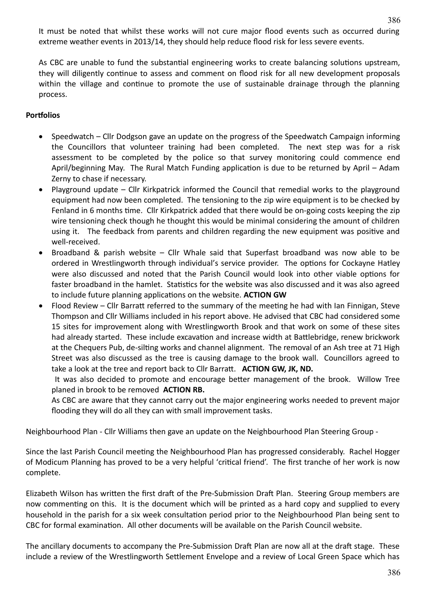It must be noted that whilst these works will not cure major flood events such as occurred during extreme weather events in 2013/14, they should help reduce flood risk for less severe events.

As CBC are unable to fund the substantial engineering works to create balancing solutions upstream, they will diligently continue to assess and comment on flood risk for all new development proposals within the village and continue to promote the use of sustainable drainage through the planning process.

### **Portfolios**

- Speedwatch Cllr Dodgson gave an update on the progress of the Speedwatch Campaign informing the Councillors that volunteer training had been completed. The next step was for a risk assessment to be completed by the police so that survey monitoring could commence end April/beginning May. The Rural Match Funding application is due to be returned by April – Adam Zerny to chase if necessary.
- Playground update Cllr Kirkpatrick informed the Council that remedial works to the playground equipment had now been completed. The tensioning to the zip wire equipment is to be checked by Fenland in 6 months time. Cllr Kirkpatrick added that there would be on-going costs keeping the zip wire tensioning check though he thought this would be minimal considering the amount of children using it. The feedback from parents and children regarding the new equipment was positive and well-received.
- Broadband & parish website Cllr Whale said that Superfast broadband was now able to be ordered in Wrestlingworth through individual's service provider. The options for Cockayne Hatley were also discussed and noted that the Parish Council would look into other viable options for faster broadband in the hamlet. Statistics for the website was also discussed and it was also agreed to include future planning applications on the website. **ACTION GW**
- Flood Review Cllr Barratt referred to the summary of the meeting he had with Ian Finnigan, Steve Thompson and Cllr Williams included in his report above. He advised that CBC had considered some 15 sites for improvement along with Wrestlingworth Brook and that work on some of these sites had already started. These include excavation and increase width at Battlebridge, renew brickwork at the Chequers Pub, de-silting works and channel alignment. The removal of an Ash tree at 71 High Street was also discussed as the tree is causing damage to the brook wall. Councillors agreed to take a look at the tree and report back to Cllr Barratt. **ACTION GW, JK, ND.**

It was also decided to promote and encourage better management of the brook. Willow Tree planed in brook to be removed **ACTION RB.** 

As CBC are aware that they cannot carry out the major engineering works needed to prevent major flooding they will do all they can with small improvement tasks.

Neighbourhood Plan - Cllr Williams then gave an update on the Neighbourhood Plan Steering Group -

Since the last Parish Council meeting the Neighbourhood Plan has progressed considerably. Rachel Hogger of Modicum Planning has proved to be a very helpful 'critical friend'. The first tranche of her work is now complete.

Elizabeth Wilson has written the first draft of the Pre-Submission Draft Plan. Steering Group members are now commenting on this. It is the document which will be printed as a hard copy and supplied to every household in the parish for a six week consultation period prior to the Neighbourhood Plan being sent to CBC for formal examination. All other documents will be available on the Parish Council website.

The ancillary documents to accompany the Pre-Submission Draft Plan are now all at the draft stage. These include a review of the Wrestlingworth Settlement Envelope and a review of Local Green Space which has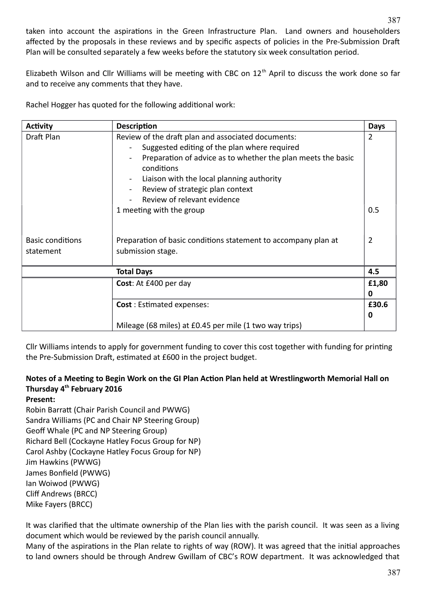taken into account the aspirations in the Green Infrastructure Plan. Land owners and householders affected by the proposals in these reviews and by specific aspects of policies in the Pre-Submission Draft Plan will be consulted separately a few weeks before the statutory six week consultation period.

Elizabeth Wilson and Cllr Williams will be meeting with CBC on 12<sup>th</sup> April to discuss the work done so far and to receive any comments that they have.

Rachel Hogger has quoted for the following additional work:

| <b>Activity</b>         | <b>Description</b>                                                         | <b>Days</b>    |  |  |  |  |
|-------------------------|----------------------------------------------------------------------------|----------------|--|--|--|--|
| Draft Plan              | Review of the draft plan and associated documents:                         | 2              |  |  |  |  |
|                         |                                                                            |                |  |  |  |  |
|                         | Preparation of advice as to whether the plan meets the basic<br>conditions |                |  |  |  |  |
|                         | Liaison with the local planning authority                                  |                |  |  |  |  |
|                         | Review of strategic plan context                                           |                |  |  |  |  |
|                         | Review of relevant evidence                                                |                |  |  |  |  |
|                         | 1 meeting with the group                                                   | 0.5            |  |  |  |  |
|                         |                                                                            |                |  |  |  |  |
| <b>Basic conditions</b> | Preparation of basic conditions statement to accompany plan at             | $\overline{2}$ |  |  |  |  |
| statement               | submission stage.                                                          |                |  |  |  |  |
|                         | <b>Total Days</b>                                                          | 4.5            |  |  |  |  |
|                         | Cost: At £400 per day                                                      | £1,80          |  |  |  |  |
|                         |                                                                            | 0              |  |  |  |  |
|                         | <b>Cost: Estimated expenses:</b>                                           | £30.6          |  |  |  |  |
|                         |                                                                            | 0              |  |  |  |  |
|                         | Mileage (68 miles) at £0.45 per mile (1 two way trips)                     |                |  |  |  |  |

Cllr Williams intends to apply for government funding to cover this cost together with funding for printing the Pre-Submission Draft, estimated at £600 in the project budget.

### **Notes of a Meeting to Begin Work on the GI Plan Action Plan held at Wrestlingworth Memorial Hall on Thursday 4th February 2016**

**Present:**

Robin Barratt (Chair Parish Council and PWWG) Sandra Williams (PC and Chair NP Steering Group) Geoff Whale (PC and NP Steering Group) Richard Bell (Cockayne Hatley Focus Group for NP) Carol Ashby (Cockayne Hatley Focus Group for NP) Jim Hawkins (PWWG) James Bonfield (PWWG) Ian Woiwod (PWWG) Cliff Andrews (BRCC) Mike Fayers (BRCC)

It was clarified that the ultimate ownership of the Plan lies with the parish council. It was seen as a living document which would be reviewed by the parish council annually.

Many of the aspirations in the Plan relate to rights of way (ROW). It was agreed that the initial approaches to land owners should be through Andrew Gwillam of CBC's ROW department. It was acknowledged that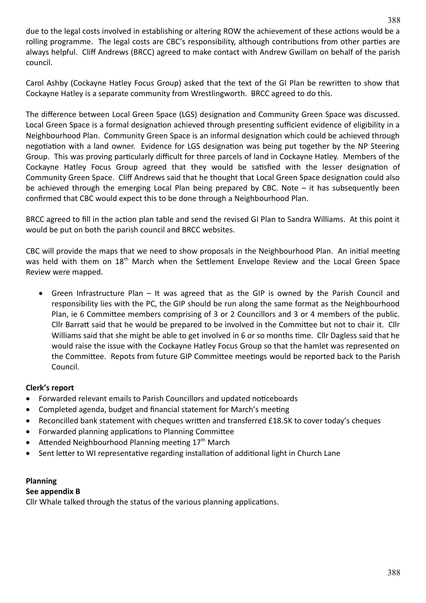due to the legal costs involved in establishing or altering ROW the achievement of these actions would be a rolling programme. The legal costs are CBC's responsibility, although contributions from other parties are always helpful. Cliff Andrews (BRCC) agreed to make contact with Andrew Gwillam on behalf of the parish council.

Carol Ashby (Cockayne Hatley Focus Group) asked that the text of the GI Plan be rewritten to show that Cockayne Hatley is a separate community from Wrestlingworth. BRCC agreed to do this.

The difference between Local Green Space (LGS) designation and Community Green Space was discussed. Local Green Space is a formal designation achieved through presenting sufficient evidence of eligibility in a Neighbourhood Plan. Community Green Space is an informal designation which could be achieved through negotiation with a land owner. Evidence for LGS designation was being put together by the NP Steering Group. This was proving particularly difficult for three parcels of land in Cockayne Hatley. Members of the Cockayne Hatley Focus Group agreed that they would be satisfied with the lesser designation of Community Green Space. Cliff Andrews said that he thought that Local Green Space designation could also be achieved through the emerging Local Plan being prepared by CBC. Note – it has subsequently been confirmed that CBC would expect this to be done through a Neighbourhood Plan.

BRCC agreed to fill in the action plan table and send the revised GI Plan to Sandra Williams. At this point it would be put on both the parish council and BRCC websites.

CBC will provide the maps that we need to show proposals in the Neighbourhood Plan. An initial meeting was held with them on 18<sup>th</sup> March when the Settlement Envelope Review and the Local Green Space Review were mapped.

 Green Infrastructure Plan – It was agreed that as the GIP is owned by the Parish Council and responsibility lies with the PC, the GIP should be run along the same format as the Neighbourhood Plan, ie 6 Committee members comprising of 3 or 2 Councillors and 3 or 4 members of the public. Cllr Barratt said that he would be prepared to be involved in the Committee but not to chair it. Cllr Williams said that she might be able to get involved in 6 or so months time. Cllr Dagless said that he would raise the issue with the Cockayne Hatley Focus Group so that the hamlet was represented on the Committee. Repots from future GIP Committee meetings would be reported back to the Parish Council.

### **Clerk's report**

- Forwarded relevant emails to Parish Councillors and updated noticeboards
- Completed agenda, budget and financial statement for March's meeting
- Reconcilled bank statement with cheques written and transferred £18.5K to cover today's cheques
- Forwarded planning applications to Planning Committee
- Attended Neighbourhood Planning meeting  $17<sup>th</sup>$  March
- Sent letter to WI representative regarding installation of additional light in Church Lane

## **Planning**

### **See appendix B**

Cllr Whale talked through the status of the various planning applications.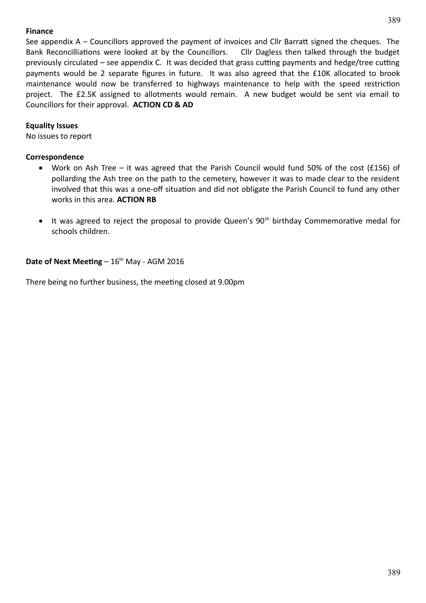### **Finance**

See appendix A – Councillors approved the payment of invoices and Cllr Barratt signed the cheques. The Bank Reconcilliations were looked at by the Councillors. Cllr Dagless then talked through the budget previously circulated – see appendix C. It was decided that grass cutting payments and hedge/tree cutting payments would be 2 separate figures in future. It was also agreed that the £10K allocated to brook maintenance would now be transferred to highways maintenance to help with the speed restriction project. The £2.5K assigned to allotments would remain. A new budget would be sent via email to Councillors for their approval. **ACTION CD & AD**

### **Equality Issues**

No issues to report

### **Correspondence**

- Work on Ash Tree it was agreed that the Parish Council would fund 50% of the cost (£156) of pollarding the Ash tree on the path to the cemetery, however it was to made clear to the resident involved that this was a one-off situation and did not obligate the Parish Council to fund any other works in this area. **ACTION RB**
- $\bullet$  It was agreed to reject the proposal to provide Queen's 90<sup>th</sup> birthday Commemorative medal for schools children.

### **Date of Next Meeting** – 16<sup>th</sup> May - AGM 2016

There being no further business, the meeting closed at 9.00pm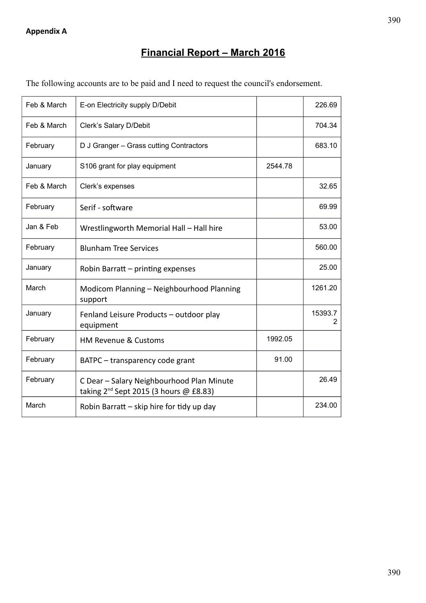# **Financial Report – March 2016**

| The following accounts are to be paid and I need to request the council's endorsement. |  |  |  |
|----------------------------------------------------------------------------------------|--|--|--|
|                                                                                        |  |  |  |

| Feb & March | E-on Electricity supply D/Debit                                                                 |         | 226.69       |
|-------------|-------------------------------------------------------------------------------------------------|---------|--------------|
| Feb & March | Clerk's Salary D/Debit                                                                          |         | 704.34       |
| February    | D J Granger - Grass cutting Contractors                                                         |         | 683.10       |
| January     | S106 grant for play equipment                                                                   | 2544.78 |              |
| Feb & March | Clerk's expenses                                                                                |         | 32.65        |
| February    | Serif - software                                                                                |         | 69.99        |
| Jan & Feb   | Wrestlingworth Memorial Hall - Hall hire                                                        |         | 53.00        |
| February    | <b>Blunham Tree Services</b>                                                                    |         | 560.00       |
| January     | Robin Barratt - printing expenses                                                               |         | 25.00        |
| March       | Modicom Planning - Neighbourhood Planning<br>support                                            |         | 1261.20      |
| January     | Fenland Leisure Products - outdoor play<br>equipment                                            |         | 15393.7<br>2 |
| February    | <b>HM Revenue &amp; Customs</b>                                                                 | 1992.05 |              |
| February    | BATPC – transparency code grant                                                                 | 91.00   |              |
| February    | C Dear - Salary Neighbourhood Plan Minute<br>taking 2 <sup>nd</sup> Sept 2015 (3 hours @ £8.83) |         | 26.49        |
| March       | Robin Barratt – skip hire for tidy up day                                                       |         | 234.00       |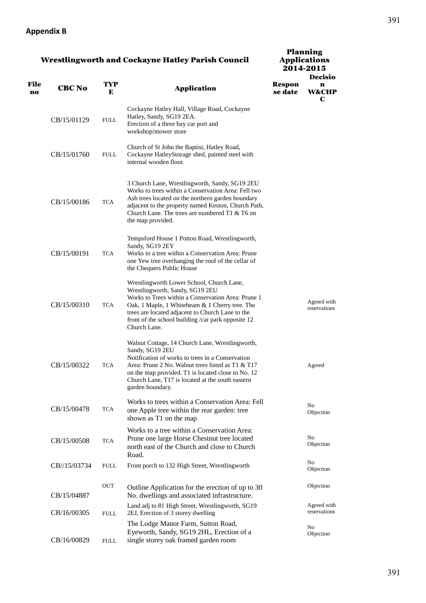### **Appendix B**

| <b>Wrestlingworth and Cockayne Hatley Parish Council</b> |  |  |
|----------------------------------------------------------|--|--|

|                   |               |             |                                                                                                                                                                                                                                                                                                                | 2014-2015                |                                         |  |  |
|-------------------|---------------|-------------|----------------------------------------------------------------------------------------------------------------------------------------------------------------------------------------------------------------------------------------------------------------------------------------------------------------|--------------------------|-----------------------------------------|--|--|
| <b>File</b><br>no | <b>CBC No</b> | TYP<br>Е    | <b>Application</b>                                                                                                                                                                                                                                                                                             | <b>Respon</b><br>se date | <b>Decisio</b><br>n<br><b>W&amp;CHP</b> |  |  |
|                   | CB/15/01129   | FULL        | Cockayne Hatley Hall, Village Road, Cockayne<br>Hatley, Sandy, SG19 2EA.<br>Erection of a three bay car port and<br>workshop/mower store                                                                                                                                                                       |                          | C                                       |  |  |
|                   | CB/15/01760   | <b>FULL</b> | Church of St John the Baptist, Hatley Road,<br>Cockayne HatleyStorage shed, painted steel with<br>internal wooden floor.                                                                                                                                                                                       |                          |                                         |  |  |
|                   | CB/15/00186   | <b>TCA</b>  | 3 Church Lane, Wrestlingworth, Sandy, SG19 2EU<br>Works to trees within a Conservation Area: Fell two<br>Ash trees located on the northern garden boundary<br>adjacent to the property named Keston, Church Path,<br>Church Lane. The trees are numbered T1 & T6 on<br>the map provided.                       |                          |                                         |  |  |
|                   | CB/15/00191   | <b>TCA</b>  | Tempsford House 1 Potton Road, Wrestlingworth,<br>Sandy, SG19 2EY<br>Works to a tree within a Conservation Area: Prune<br>one Yew tree overhanging the roof of the cellar of<br>the Chequers Public House                                                                                                      |                          |                                         |  |  |
|                   | CB/15/00310   | <b>TCA</b>  | Wrestlingworth Lower School, Church Lane,<br>Wrestlingworth, Sandy, SG19 2EU<br>Works to Trees within a Conservation Area: Prune 1<br>Oak, 1 Maple, 1 Whitebeam & 1 Cherry tree. The<br>trees are located adjacent to Church Lane to the<br>front of the school building /car park opposite 12<br>Church Lane. |                          | Agreed with<br>reservations             |  |  |
|                   | CB/15/00322   | <b>TCA</b>  | Walnut Cottage, 14 Church Lane, Wrestlingworth,<br>Sandy, SG19 2EU<br>Notification of works to trees in a Conservation<br>Area: Prune 2 No. Walnut trees listed as T1 & T17<br>on the map provided. T1 is located close to No. 12<br>Church Lane, T17 is located at the south eastern<br>garden boundary.      |                          | Agreed                                  |  |  |
|                   | CB/15/00478   | <b>TCA</b>  | Works to trees within a Conservation Area: Fell<br>one Apple tree within the rear garden: tree<br>shown as T1 on the map                                                                                                                                                                                       |                          | No<br>Objection                         |  |  |
|                   | CB/15/00508   | <b>TCA</b>  | Works to a tree within a Conservation Area:<br>Prune one large Horse Chestnut tree located<br>north east of the Church and close to Church<br>Road.                                                                                                                                                            |                          | No<br>Objection                         |  |  |
|                   | CB//15/03734  | FULL        | Front porch to 132 High Street, Wrestlingworth                                                                                                                                                                                                                                                                 |                          | No<br>Objection                         |  |  |
|                   | CB/15/04887   | OUT         | Outline Application for the erection of up to 30<br>No. dwellings and associated infrastructure.                                                                                                                                                                                                               |                          | Objection                               |  |  |
|                   | CB/16/00305   | <b>FULL</b> | Land adj to 81 High Street, Wrestlingworth, SG19<br>2EJ, Erection of 3 storey dwelling                                                                                                                                                                                                                         |                          | Agreed with<br>reservations             |  |  |
|                   | CB/16/00829   | <b>FULL</b> | The Lodge Manor Farm, Sutton Road,<br>Eyeworth, Sandy, SG19 2HL, Erection of a<br>single storey oak framed garden room                                                                                                                                                                                         |                          | No<br>Objection                         |  |  |

Planning Applications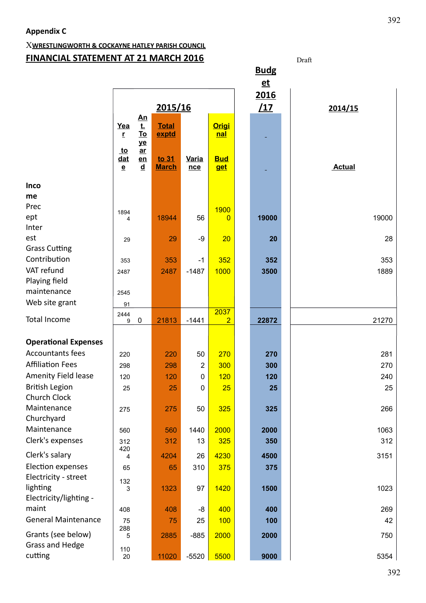# X**WRESTLINGWORTH & COCKAYNE HATLEY PARISH COUNCIL FINANCIAL STATEMENT AT 21 MARCH 2016** Draft Draft

|                             |                                                     |                                        |                       |                     |                          |  | <b>Budg</b> |               |
|-----------------------------|-----------------------------------------------------|----------------------------------------|-----------------------|---------------------|--------------------------|--|-------------|---------------|
|                             |                                                     |                                        |                       |                     |                          |  | $et$        |               |
|                             |                                                     |                                        |                       |                     |                          |  | 2016        |               |
|                             | 2015/16                                             |                                        |                       |                     |                          |  | <u>/17</u>  | 2014/15       |
|                             |                                                     | <u>An</u>                              |                       |                     |                          |  |             |               |
|                             | Yea                                                 | <u>t.</u>                              | <b>Total</b>          |                     | <b>Origi</b>             |  |             |               |
|                             | r                                                   | <u>To</u><br>ye                        | exptd                 |                     | <u>nal</u>               |  |             |               |
|                             | <u>to</u><br><u>dat</u><br>$\underline{\mathbf{e}}$ | $ar$<br>en<br>$\underline{\mathbf{d}}$ | to 31<br><b>March</b> | <b>Varia</b><br>nce | <b>Bud</b><br><u>get</u> |  |             | <b>Actual</b> |
| <b>Inco</b>                 |                                                     |                                        |                       |                     |                          |  |             |               |
| me                          |                                                     |                                        |                       |                     |                          |  |             |               |
| Prec                        |                                                     |                                        |                       |                     | 1900                     |  |             |               |
| ept                         | 1894<br>4                                           |                                        | 18944                 | 56                  | $\Omega$                 |  | 19000       | 19000         |
| Inter                       |                                                     |                                        |                       |                     |                          |  |             |               |
| est                         | 29                                                  |                                        | 29                    | $-9$                | 20                       |  | 20          | 28            |
| <b>Grass Cutting</b>        |                                                     |                                        |                       |                     |                          |  |             |               |
| Contribution                | 353                                                 |                                        | 353                   | $-1$                | 352                      |  | 352         | 353           |
| VAT refund                  | 2487                                                |                                        | 2487                  | $-1487$             | 1000                     |  | 3500        | 1889          |
| Playing field               |                                                     |                                        |                       |                     |                          |  |             |               |
| maintenance                 | 2545                                                |                                        |                       |                     |                          |  |             |               |
| Web site grant              | 91                                                  |                                        |                       |                     |                          |  |             |               |
|                             | 2444                                                |                                        |                       |                     | 2037                     |  |             |               |
| <b>Total Income</b>         | 9                                                   | $\mathbf 0$                            | 21813                 | $-1441$             | $\overline{2}$           |  | 22872       | 21270         |
|                             |                                                     |                                        |                       |                     |                          |  |             |               |
| <b>Operational Expenses</b> |                                                     |                                        |                       |                     |                          |  |             |               |
| <b>Accountants fees</b>     | 220                                                 |                                        | 220                   | 50                  | 270                      |  | 270         | 281           |
| <b>Affiliation Fees</b>     | 298                                                 |                                        | 298                   | $\overline{2}$      | 300                      |  | 300         | 270           |
| Amenity Field lease         | 120                                                 |                                        | 120                   | 0                   | 120                      |  | 120         | 240           |
| <b>British Legion</b>       | 25                                                  |                                        | 25                    | $\mathbf 0$         | 25                       |  | 25          | 25            |
| Church Clock                |                                                     |                                        |                       |                     |                          |  |             |               |
| Maintenance                 | 275                                                 |                                        | 275                   | 50                  | 325                      |  | 325         | 266           |
| Churchyard                  |                                                     |                                        |                       |                     |                          |  |             |               |
| Maintenance                 | 560                                                 |                                        | 560                   | 1440                | 2000                     |  | 2000        | 1063          |
| Clerk's expenses            | 312                                                 |                                        | 312                   | 13                  | 325                      |  | 350         | 312           |
| Clerk's salary              | 420<br>4                                            |                                        | 4204                  | 26                  | 4230                     |  | 4500        | 3151          |
| Election expenses           | 65                                                  |                                        | 65                    | 310                 | 375                      |  | 375         |               |
| Electricity - street        |                                                     |                                        |                       |                     |                          |  |             |               |
| lighting                    | 132<br>3                                            |                                        | 1323                  | 97                  | 1420                     |  | 1500        | 1023          |
| Electricity/lighting -      |                                                     |                                        |                       |                     |                          |  |             |               |
| maint                       | 408                                                 |                                        | 408                   | -8                  | 400                      |  | 400         | 269           |
| <b>General Maintenance</b>  |                                                     |                                        |                       |                     |                          |  |             | 42            |
|                             | 75<br>288                                           |                                        | 75                    | 25                  | 100                      |  | 100         |               |
| Grants (see below)          | 5                                                   |                                        | 2885                  | $-885$              | 2000                     |  | 2000        | 750           |
| Grass and Hedge             | 110                                                 |                                        |                       |                     |                          |  |             |               |
| cutting                     | 20                                                  |                                        | 11020                 | $-5520$             | 5500                     |  | 9000        | 5354          |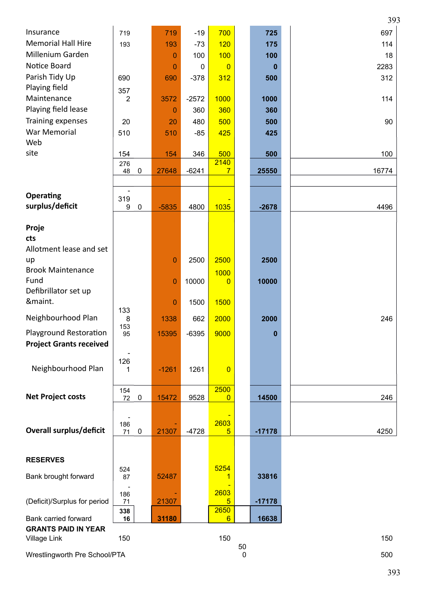|                                |                                 |                |             |                        |   |          | 393   |
|--------------------------------|---------------------------------|----------------|-------------|------------------------|---|----------|-------|
| Insurance                      | 719                             | 719            | $-19$       | 700                    |   | 725      | 697   |
| <b>Memorial Hall Hire</b>      | 193                             | 193            | $-73$       | 120                    |   | 175      | 114   |
| Millenium Garden               |                                 | $\Omega$       | 100         | 100                    |   | 100      | 18    |
| Notice Board                   |                                 | $\Omega$       | $\mathbf 0$ | $\overline{0}$         |   | 0        | 2283  |
| Parish Tidy Up                 | 690                             | 690            | $-378$      | 312                    |   | 500      | 312   |
| Playing field                  | 357                             |                |             |                        |   |          |       |
| Maintenance                    | 2                               | 3572           | $-2572$     | 1000                   |   | 1000     | 114   |
| Playing field lease            |                                 | 0              | 360         | 360                    |   | 360      |       |
| Training expenses              | 20                              | 20             | 480         | 500                    |   | 500      | 90    |
| <b>War Memorial</b>            | 510                             | 510            | $-85$       | 425                    |   | 425      |       |
| Web                            |                                 |                |             |                        |   |          |       |
| site                           | 154                             | 154            | 346         | 500                    |   | 500      | 100   |
|                                | 276                             |                |             | 2140                   |   |          |       |
|                                | 48<br>$\mathbf 0$               | 27648          | $-6241$     | $\overline{7}$         |   | 25550    | 16774 |
|                                |                                 |                |             |                        |   |          |       |
| <b>Operating</b>               | 319                             |                |             |                        |   |          |       |
| surplus/deficit                | $\boldsymbol{9}$<br>$\mathbf 0$ | $-5835$        | 4800        | 1035                   |   | $-2678$  | 4496  |
|                                |                                 |                |             |                        |   |          |       |
| Proje                          |                                 |                |             |                        |   |          |       |
| cts                            |                                 |                |             |                        |   |          |       |
| Allotment lease and set        |                                 |                |             |                        |   |          |       |
| up                             |                                 | $\mathbf{0}$   | 2500        | 2500                   |   | 2500     |       |
| <b>Brook Maintenance</b>       |                                 |                |             | 1000                   |   |          |       |
| Fund                           |                                 | $\mathbf{0}$   | 10000       | 0                      |   | 10000    |       |
| Defibrillator set up           |                                 |                |             |                        |   |          |       |
| &maint.                        | 133                             | $\overline{0}$ | 1500        | 1500                   |   |          |       |
| Neighbourhood Plan             | 8                               | 1338           | 662         | 2000                   |   | 2000     | 246   |
|                                | 153                             |                |             |                        |   |          |       |
| Playground Restoration         | 95                              | 15395          | $-6395$     | 9000                   |   | 0        |       |
| <b>Project Grants received</b> |                                 |                |             |                        |   |          |       |
|                                | 126                             |                |             |                        |   |          |       |
| Neighbourhood Plan             | 1                               | $-1261$        | 1261        | $\overline{0}$         |   |          |       |
|                                |                                 |                |             |                        |   |          |       |
| <b>Net Project costs</b>       | 154<br>72<br>$\mathbf 0$        | 15472          | 9528        | 2500<br>$\overline{0}$ |   | 14500    | 246   |
|                                |                                 |                |             |                        |   |          |       |
|                                |                                 |                |             |                        |   |          |       |
| <b>Overall surplus/deficit</b> | 186<br>71<br>$\boldsymbol{0}$   | 21307          | $-4728$     | 2603<br>5              |   | $-17178$ | 4250  |
|                                |                                 |                |             |                        |   |          |       |
|                                |                                 |                |             |                        |   |          |       |
| <b>RESERVES</b>                |                                 |                |             |                        |   |          |       |
|                                | 524                             |                |             | 5254                   |   |          |       |
| Bank brought forward           | 87                              | 52487          |             | 1                      |   | 33816    |       |
|                                | 186                             |                |             | 2603                   |   |          |       |
| (Deficit)/Surplus for period   | 71                              | 21307          |             | 5                      |   | $-17178$ |       |
| Bank carried forward           | 338<br>16                       | 31180          |             | 2650<br>6              |   | 16638    |       |
| <b>GRANTS PAID IN YEAR</b>     |                                 |                |             |                        |   |          |       |
| Village Link                   | 150                             |                |             | 150                    |   |          | 150   |
|                                |                                 |                | 50          |                        |   |          |       |
| Wrestlingworth Pre School/PTA  |                                 |                |             |                        | 0 |          | 500   |